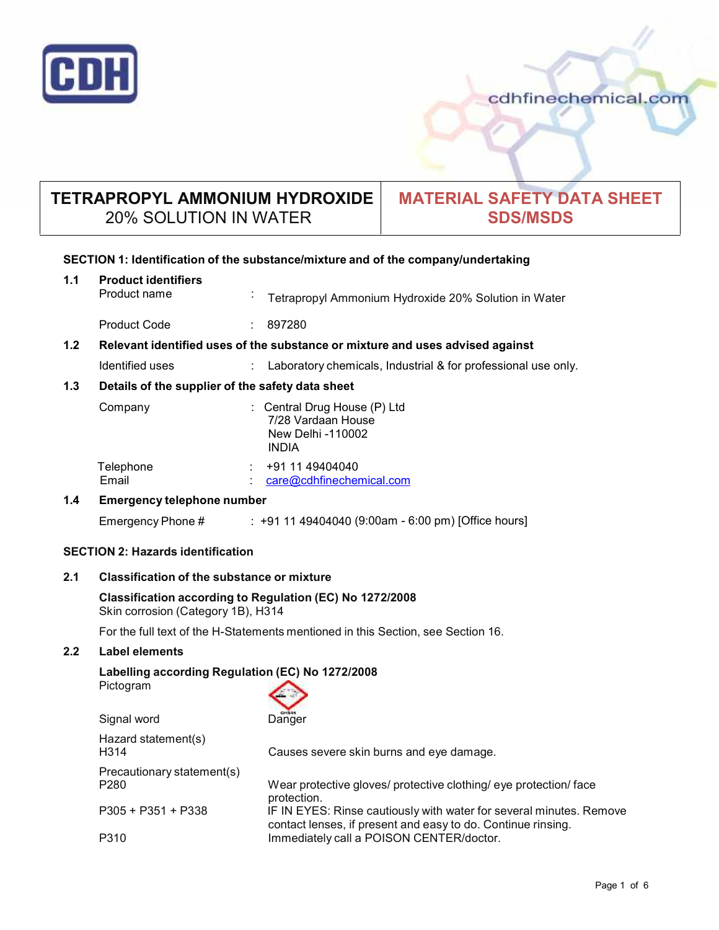

**1.1 Product identifiers**

cdhfinechemical.com

# **TETRAPROPYL AMMONIUM HYDROXIDE** 20% SOLUTION IN WATER

# **MATERIAL SAFETY DATA SHEET SDS/MSDS**

# **SECTION 1: Identification of the substance/mixture and of the company/undertaking**

|     | Product name                                                                                   | Tetrapropyl Ammonium Hydroxide 20% Solution in Water                                                                                |  |  |
|-----|------------------------------------------------------------------------------------------------|-------------------------------------------------------------------------------------------------------------------------------------|--|--|
|     | <b>Product Code</b>                                                                            | 897280                                                                                                                              |  |  |
| 1.2 | Relevant identified uses of the substance or mixture and uses advised against                  |                                                                                                                                     |  |  |
|     | Identified uses                                                                                | Laboratory chemicals, Industrial & for professional use only.                                                                       |  |  |
| 1.3 | Details of the supplier of the safety data sheet                                               |                                                                                                                                     |  |  |
|     | Company                                                                                        | : Central Drug House (P) Ltd<br>7/28 Vardaan House<br>New Delhi -110002<br><b>INDIA</b>                                             |  |  |
|     | Telephone<br>Email                                                                             | +91 11 49404040<br>care@cdhfinechemical.com                                                                                         |  |  |
| 1.4 | <b>Emergency telephone number</b>                                                              |                                                                                                                                     |  |  |
|     | Emergency Phone #                                                                              | $: +91149404040$ (9:00am - 6:00 pm) [Office hours]                                                                                  |  |  |
|     | <b>SECTION 2: Hazards identification</b>                                                       |                                                                                                                                     |  |  |
| 2.1 | <b>Classification of the substance or mixture</b>                                              |                                                                                                                                     |  |  |
|     | Classification according to Regulation (EC) No 1272/2008<br>Skin corrosion (Category 1B), H314 |                                                                                                                                     |  |  |
|     | For the full text of the H-Statements mentioned in this Section, see Section 16.               |                                                                                                                                     |  |  |
| 2.2 | <b>Label elements</b>                                                                          |                                                                                                                                     |  |  |
|     | Labelling according Regulation (EC) No 1272/2008<br>Pictogram                                  |                                                                                                                                     |  |  |
|     | Signal word                                                                                    | Danger                                                                                                                              |  |  |
|     | Hazard statement(s)<br>H314                                                                    | Causes severe skin burns and eye damage.                                                                                            |  |  |
|     | Precautionary statement(s)<br>P280                                                             | Wear protective gloves/ protective clothing/ eye protection/ face<br>protection.                                                    |  |  |
|     | $P305 + P351 + P338$                                                                           | IF IN EYES: Rinse cautiously with water for several minutes. Remove<br>contact lenses, if present and easy to do. Continue rinsing. |  |  |
|     | P310                                                                                           | Immediately call a POISON CENTER/doctor.                                                                                            |  |  |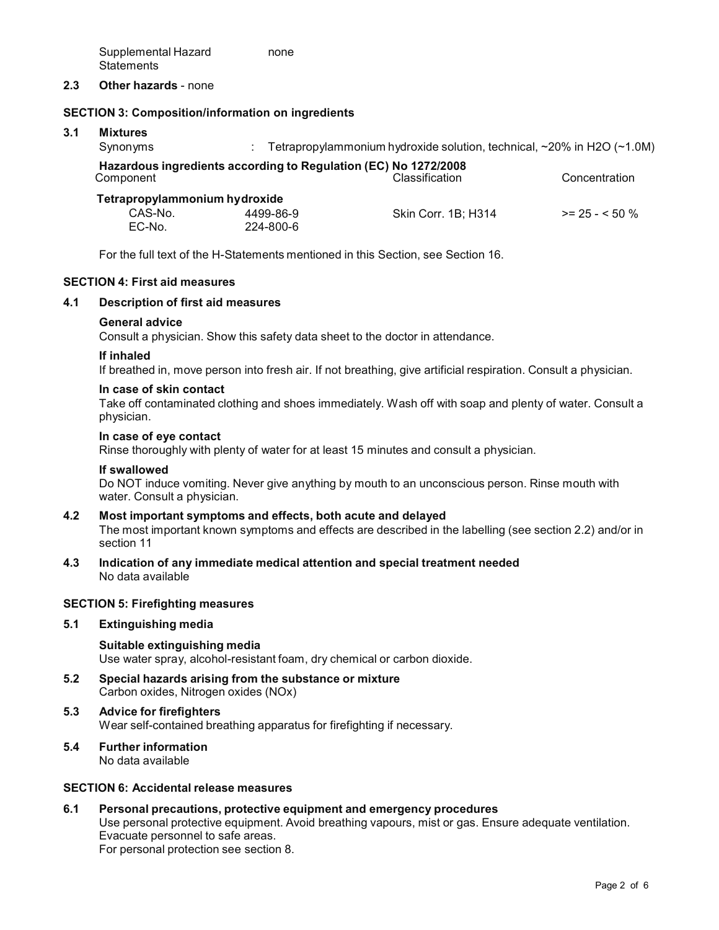Supplemental Hazard **Statements** none

## **2.3 Other hazards** - none

## **SECTION 3: Composition/information on ingredients**

# **3.1 Mixtures**

| Synonyms                                                                                                        |           | Tetrapropylammonium hydroxide solution, technical, $\sim$ 20% in H2O ( $\sim$ 1.0M) |                 |  |  |  |  |
|-----------------------------------------------------------------------------------------------------------------|-----------|-------------------------------------------------------------------------------------|-----------------|--|--|--|--|
| Hazardous ingredients according to Regulation (EC) No 1272/2008<br>Classification<br>Concentration<br>Component |           |                                                                                     |                 |  |  |  |  |
| Tetrapropylammonium hydroxide                                                                                   |           |                                                                                     |                 |  |  |  |  |
| CAS-No.                                                                                                         | 4499-86-9 | Skin Corr. 1B; H314                                                                 | $>= 25 - 50 \%$ |  |  |  |  |
| EC-No.                                                                                                          | 224-800-6 |                                                                                     |                 |  |  |  |  |

For the full text of the H-Statements mentioned in this Section, see Section 16.

# **SECTION 4: First aid measures**

#### **4.1 Description of first aid measures**

#### **General advice**

Consult a physician. Show this safety data sheet to the doctor in attendance.

#### **If inhaled**

If breathed in, move person into fresh air. If not breathing, give artificial respiration. Consult a physician.

#### **In case of skin contact**

Take off contaminated clothing and shoes immediately. Wash off with soap and plenty of water. Consult a physician.

#### **In case of eye contact**

Rinse thoroughly with plenty of water for at least 15 minutes and consult a physician.

#### **If swallowed**

Do NOT induce vomiting. Never give anything by mouth to an unconscious person. Rinse mouth with water. Consult a physician.

#### **4.2 Most important symptoms and effects, both acute and delayed** The most important known symptoms and effects are described in the labelling (see section 2.2) and/or in section 11

**4.3 Indication of any immediate medical attention and special treatment needed** No data available

## **SECTION 5: Firefighting measures**

#### **5.1 Extinguishing media**

**Suitable extinguishing media** Use water spray, alcohol-resistant foam, dry chemical or carbon dioxide.

**5.2 Special hazards arising from the substance ormixture** Carbon oxides, Nitrogen oxides (NOx)

#### **5.3 Advice for firefighters** Wear self-contained breathing apparatus for firefighting if necessary.

#### **5.4 Further information** No data available

#### **SECTION 6: Accidental release measures**

# **6.1 Personal precautions, protective equipment and emergency procedures** Use personal protective equipment. Avoid breathing vapours, mist or gas. Ensure adequate ventilation. Evacuate personnel to safe areas. For personal protection see section 8.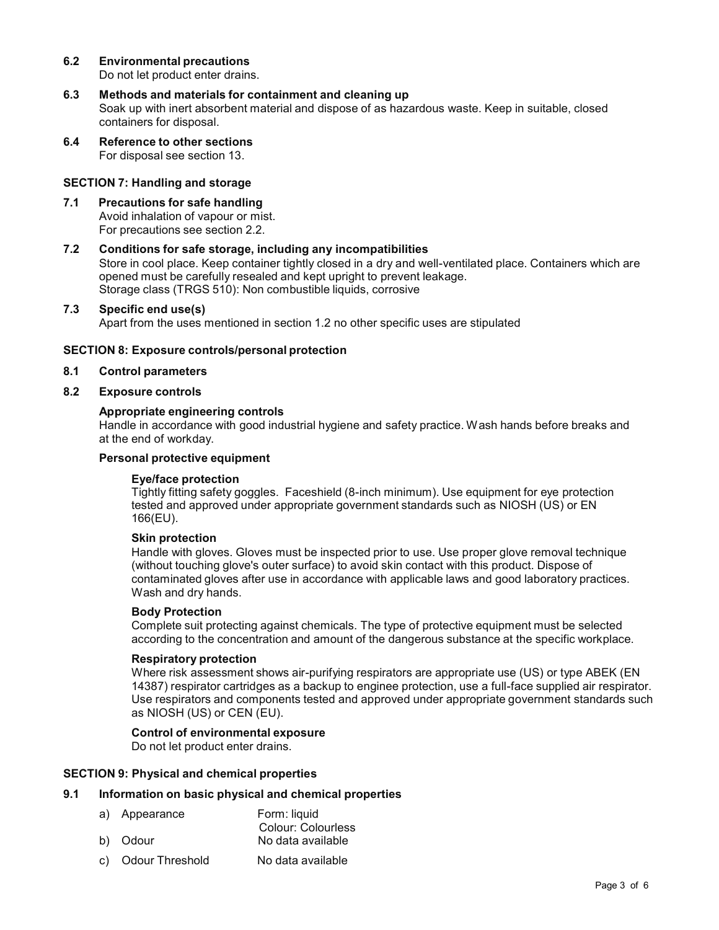## **6.2 Environmental precautions** Do not let product enter drains.

- **6.3 Methods and materials for containment and cleaning up** Soak up with inert absorbent material and dispose of as hazardous waste. Keep in suitable, closed containers for disposal.
- **6.4 Reference to other sections** For disposal see section 13.

# **SECTION 7: Handling and storage**

- **7.1 Precautions for safe handling** Avoid inhalation of vapour or mist. For precautions see section 2.2.
- **7.2 Conditions for safe storage, including any incompatibilities** Store in cool place. Keep container tightly closed in a dry and well-ventilated place. Containers which are opened must be carefully resealed and kept upright to prevent leakage.

Storage class (TRGS 510): Non combustible liquids, corrosive

# **7.3 Specific end use(s)**

Apart from the uses mentioned in section 1.2 no other specific uses are stipulated

## **SECTION 8: Exposure controls/personal protection**

#### **8.1 Control parameters**

**8.2 Exposure controls**

## **Appropriate engineering controls**

Handle in accordance with good industrial hygiene and safety practice. Wash hands before breaks and at the end of workday.

## **Personal protective equipment**

#### **Eye/face protection**

Tightly fitting safety goggles. Faceshield (8-inch minimum). Use equipment for eye protection tested and approved under appropriate government standards such as NIOSH (US) or EN 166(EU).

## **Skin protection**

Handle with gloves. Gloves must be inspected prior to use. Use proper glove removal technique (without touching glove's outer surface) to avoid skin contact with this product. Dispose of contaminated gloves after use in accordance with applicable laws and good laboratory practices. Wash and dry hands.

#### **Body Protection**

Complete suit protecting against chemicals. The type of protective equipment must be selected according to the concentration and amount of the dangerous substance at the specific workplace.

## **Respiratory protection**

Where risk assessment shows air-purifying respirators are appropriate use (US) or type ABEK (EN 14387) respirator cartridges as a backup to enginee protection, use a full-face supplied air respirator. Use respirators and components tested and approved under appropriate government standards such as NIOSH (US) or CEN (EU).

## **Control of environmental exposure**

Do not let product enter drains.

## **SECTION 9: Physical and chemical properties**

# **9.1 Information on basic physical and chemical properties**

- a) Appearance Form: liquid Colour: Colourless b) Odour No data available
- c) Odour Threshold No data available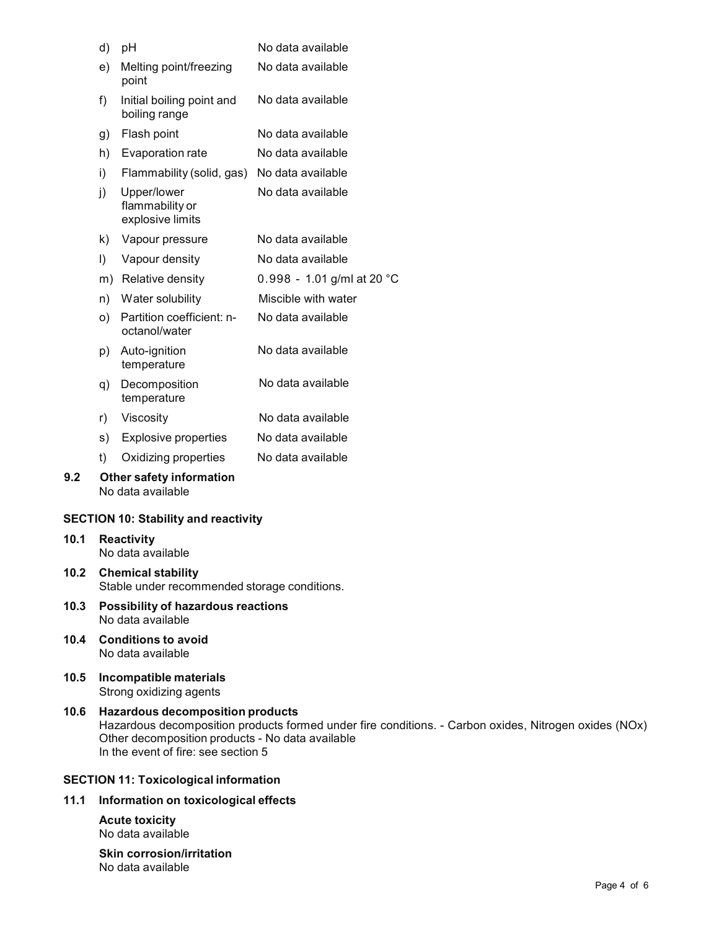|                   | d)                                                                        | pH                                                 | No data available          |  |
|-------------------|---------------------------------------------------------------------------|----------------------------------------------------|----------------------------|--|
|                   | e)                                                                        | Melting point/freezing<br>point                    | No data available          |  |
|                   | f)                                                                        | Initial boiling point and<br>boiling range         | No data available          |  |
|                   | g)                                                                        | Flash point                                        | No data available          |  |
|                   | h)                                                                        | Evaporation rate                                   | No data available          |  |
|                   | i)                                                                        | Flammability (solid, gas)                          | No data available          |  |
|                   | j)                                                                        | Upper/lower<br>flammability or<br>explosive limits | No data available          |  |
|                   | k)                                                                        | Vapour pressure                                    | No data available          |  |
|                   | $\vert$                                                                   | Vapour density                                     | No data available          |  |
|                   |                                                                           | m) Relative density                                | 0.998 - 1.01 g/ml at 20 °C |  |
|                   | n)                                                                        | Water solubility                                   | Miscible with water        |  |
|                   | O)                                                                        | Partition coefficient: n-<br>octanol/water         | No data available          |  |
|                   | p)                                                                        | Auto-ignition<br>temperature                       | No data available          |  |
|                   | q)                                                                        | Decomposition<br>temperature                       | No data available          |  |
|                   | r)                                                                        | Viscosity                                          | No data available          |  |
|                   | s)                                                                        | <b>Explosive properties</b>                        | No data available          |  |
|                   | t)                                                                        | Oxidizing properties                               | No data available          |  |
| 9.2               | <b>Other safety information</b><br>No data available                      |                                                    |                            |  |
|                   |                                                                           | <b>SECTION 10: Stability and reactivity</b>        |                            |  |
| 10.1              | <b>Reactivity</b><br>No data available                                    |                                                    |                            |  |
| 10.2 <sub>1</sub> | <b>Chemical stability</b><br>Stable under recommended storage conditions. |                                                    |                            |  |
| 10.3              | Possibility of hazardous reactions<br>No data available                   |                                                    |                            |  |
| 10.4              |                                                                           | <b>Conditions to avoid</b><br>No data available    |                            |  |

**10.5 Incompatible materials** Strong oxidizing agents

**10.6 Hazardous decomposition products** Hazardous decomposition products formed under fire conditions. - Carbon oxides, Nitrogen oxides (NOx) Other decomposition products - No data available In the event of fire: see section 5

# **SECTION 11: Toxicological information**

# **11.1 Information on toxicological effects**

**Acute toxicity** No data available

**Skin corrosion/irritation** No data available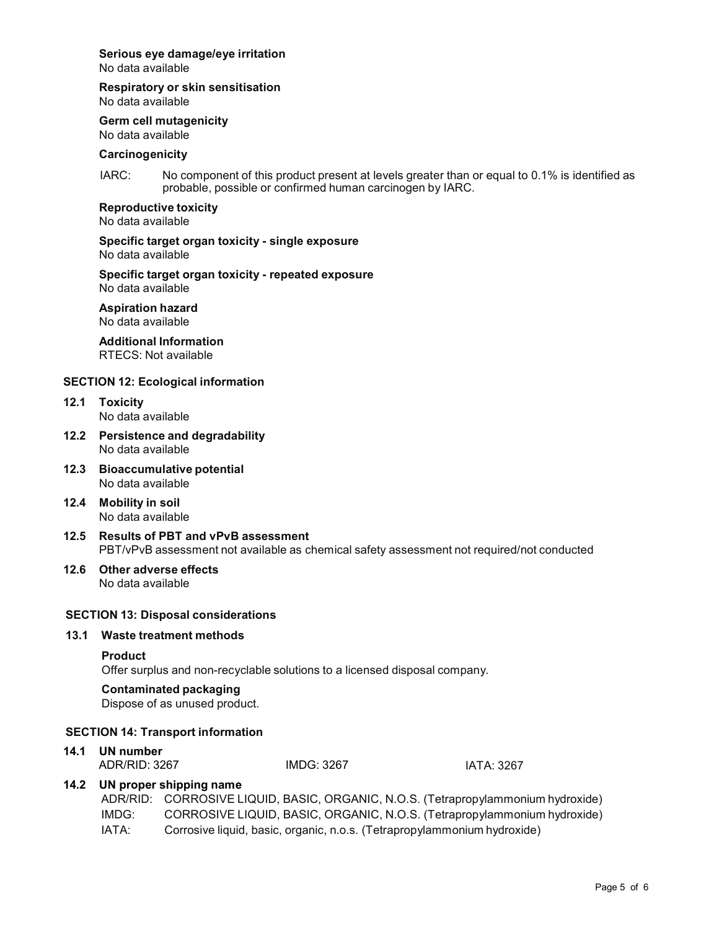# **Serious eye damage/eye irritation**

No data available

#### **Respiratory orskin sensitisation**

No data available

**Germ cell mutagenicity**

No data available

# **Carcinogenicity**

IARC: No component of this product present at levels greater than or equal to 0.1% is identified as probable, possible or confirmed human carcinogen by IARC.

#### **Reproductive toxicity**

No data available

#### **Specific target organ toxicity - single exposure** No data available

#### **Specific target organ toxicity - repeated exposure** No data available

**Aspiration hazard**

No data available

# **Additional Information**

RTECS: Not available

# **SECTION 12: Ecological information**

- **12.1 Toxicity** No data available
- **12.2 Persistence and degradability** No data available
- **12.3 Bioaccumulative potential** No data available
- **12.4 Mobility in soil** No data available
- **12.5 Results of PBT and vPvB assessment** PBT/vPvB assessment not available as chemical safety assessment not required/not conducted

#### **12.6 Other adverse effects** No data available

# **SECTION 13: Disposal considerations**

# **13.1 Waste treatment methods**

#### **Product**

Offer surplus and non-recyclable solutions to a licensed disposal company.

# **Contaminated packaging**

Dispose of as unused product.

#### **SECTION 14: Transport information**

**14.1 UN number** ADR/RID: 3267

IMDG: 3267

IATA: 3267

# **14.2 UN proper shipping name**

|       | ADR/RID: CORROSIVE LIQUID, BASIC, ORGANIC, N.O.S. (Tetrapropylammonium hydroxide) |
|-------|-----------------------------------------------------------------------------------|
| IMDG: | CORROSIVE LIQUID, BASIC, ORGANIC, N.O.S. (Tetrapropylammonium hydroxide)          |
| IATA: | Corrosive liquid, basic, organic, n.o.s. (Tetrapropylammonium hydroxide)          |